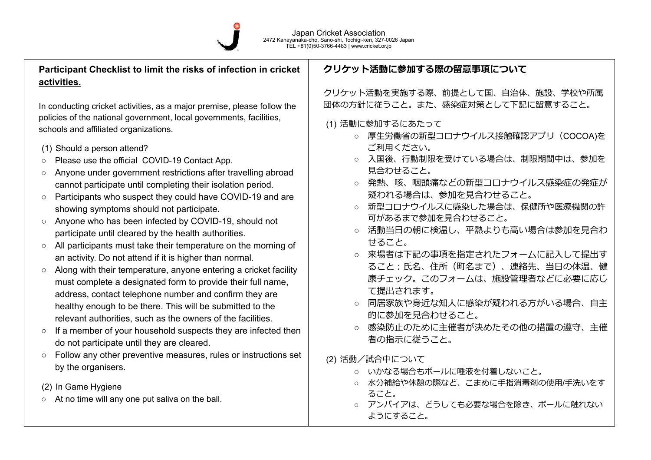

## **Participant Checklist to limit the risks of infection in cricket activities.**

In conducting cricket activities, as a major premise, please follow the policies of the national government, local governments, facilities, schools and affiliated organizations.

- (1) Should a person attend?
- Please use the official COVID-19 Contact App.
- Anyone under government restrictions after travelling abroad cannot participate until completing their isolation period.
- Participants who suspect they could have COVID-19 and are showing symptoms should not participate.
- Anyone who has been infected by COVID-19, should not participate until cleared by the health authorities.
- All participants must take their temperature on the morning of an activity. Do not attend if it is higher than normal.
- Along with their temperature, anyone entering a cricket facility must complete a designated form to provide their full name, address, contact telephone number and confirm they are healthy enough to be there. This will be submitted to the relevant authorities, such as the owners of the facilities.
- If a member of your household suspects they are infected then do not participate until they are cleared.
- Follow any other preventive measures, rules or instructions set by the organisers.
- (2) In Game Hygiene
- At no time will any one put saliva on the ball.

## **クリケット活動に参加する際の留意事項について**

クリケット活動を実施する際、前提として国、⾃治体、施設、学校や所属 団体の⽅針に従うこと。また、感染症対策として下記に留意すること。

- (1) 活動に参加するにあたって
	- 厚⽣労働省の新型コロナウイルス接触確認アプリ(COCOA)を ご利⽤ください。
	- 入国後、行動制限を受けている場合は、制限期間中は、参加を ⾒合わせること。
	- 発熱、咳、咽頭痛などの新型コロナウイルス感染症の発症が 疑われる場合は、参加を⾒合わせること。
	- 新型コロナウイルスに感染した場合は、保健所や医療機関の許 可があるまで参加を⾒合わせること。
	- 活動当日の朝に検温し、平熱よりも高い場合は参加を見合わ せること。
	- 来場者は下記の事項を指定されたフォームに記入して提出す ること: 氏名、住所(町名まで)、連絡先、当日の体温、健 康チェック。このフォームは、施設管理者などに必要に応じ て提出されます。
	- 同居家族や身近な知人に感染が疑われる方がいる場合、自主 的に参加を⾒合わせること。
	- 感染防止のために主催者が決めたその他の措置の遵守、主催 者の指示に従うこと。

(2) 活動/試合中について

- いかなる場合もボールに唾液を付着しないこと。
- 水分補給や休憩の際など、こまめに手指消毒剤の使用/手洗いをす ること。
- アンパイアは、どうしても必要な場合を除き、ボールに触れない ようにすること。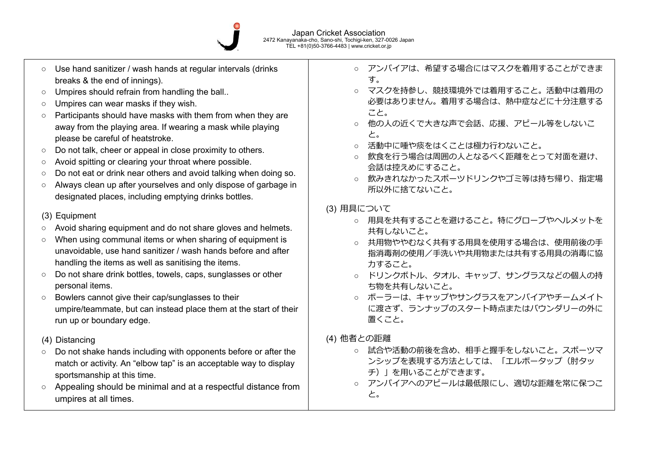

- Use hand sanitizer / wash hands at regular intervals (drinks breaks & the end of innings).
- Umpires should refrain from handling the ball..
- Umpires can wear masks if they wish.
- Participants should have masks with them from when they are away from the playing area. If wearing a mask while playing please be careful of heatstroke.
- Do not talk, cheer or appeal in close proximity to others.
- Avoid spitting or clearing your throat where possible.
- Do not eat or drink near others and avoid talking when doing so.
- Always clean up after yourselves and only dispose of garbage in designated places, including emptying drinks bottles.

## (3) Equipment

- Avoid sharing equipment and do not share gloves and helmets.
- When using communal items or when sharing of equipment is unavoidable, use hand sanitizer / wash hands before and after handling the items as well as sanitising the items.
- Do not share drink bottles, towels, caps, sunglasses or other personal items.
- Bowlers cannot give their cap/sunglasses to their umpire/teammate, but can instead place them at the start of their run up or boundary edge.

## (4) Distancing

- Do not shake hands including with opponents before or after the match or activity. An "elbow tap" is an acceptable way to display sportsmanship at this time.
- Appealing should be minimal and at a respectful distance from umpires at all times.
- アンパイアは、希望する場合にはマスクを着用することができま す。
- マスクを持参し、競技環境外では着用すること。活動中は着用の 必要はありません。着用する場合は、熱中症などに十分注意する こと。
- 他の人の近くで大きな声で会話、応援、アピール等をしないこ と。
- 活動中に唾や痰をはくことは極力行わないこと。
- 飲食を行う場合は周囲の人となるべく距離をとって対面を避け、 会話は控えめにすること。
- 飲みきれなかったスポーツドリンクやゴミ等は持ち帰り、指定場 所以外に捨てないこと。
- (3) 用具について
	- 用具を共有することを避けること。特にグローブやヘルメットを 共有しないこと。
	- 共用物ややむなく共有する用具を使用する場合は、使用前後の手 指消毒剤の使用/手洗いや共用物または共有する用具の消毒に協 力すること。
	- ドリンクボトル、タオル、キャップ、サングラスなどの個人の持 ち物を共有しないこと。
	- ボーラーは、キャップやサングラスをアンパイアやチームメイト に渡さず、ランナップのスタート時点またはバウンダリーの外に 置くこと。
- (4) 他者との距離
	- 試合や活動の前後を含め、相手と握手をしないこと。スポーツマ ンシップを表現する⽅法としては、「エルボータップ(肘タッ チ) | を用いることができます。
	- アンパイアへのアピールは最低限にし、適切な距離を常に保つこ と。